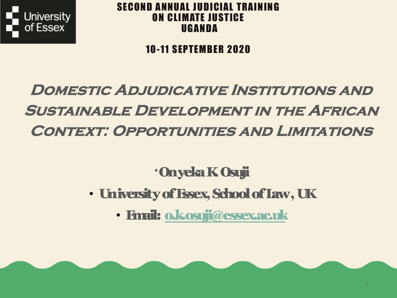

### SECOND ANNUAL JUDICIAL TRAINING ON CLIMATE JUSTICE UGANDA

### 10-11 SEPTEMBER 2020

# **DOMESTIC ADJUDICATIVE INSTITUTIONS SUSTAINABLE DEVELOPMENT IN THE AFR CONTEXT: OPPORTUNITIES AND LIMITAT**

### \*OnyekaK. Osuji

- University of Essex, School of Law, UK
	- Email: o.k.osuji@essex.ac.uk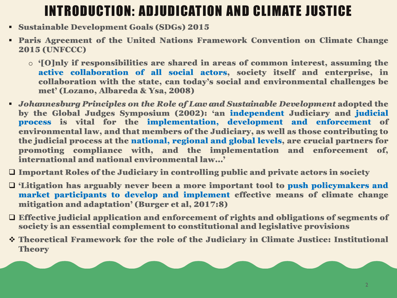# INTRODUCTION: ADJUDICATION AND CLIMATE JUSTICE

- § Sustainable Development Goals (SDGs) 2015
- § Paris Agreement of the United Nations Framework Convention on Climate Change 2015 (UNFCCC)
	- o '[O]nly if responsibilities are shared in areas of common interest, assuming the active collaboration of all social actors, society itself and enterprise, in collaboration with the state, can today's social and environmental challenges be met' (Lozano, Albareda & Ysa, 2008)
- § *Johannesburg Principles on the Role of Law and Sustainable Development* adopted the by the Global Judges Symposium (2002): 'an independent Judiciary and judicial process is vital for the implementation, development and enforcement of environmental law, and that members of the Judiciary, as well as those contributing to the judicial process at the national, regional and global levels, are crucial partners for promoting compliance with, and the implementation and enforcement of, international and national environmental law…'
- $\Box$  Important Roles of the Judiciary in controlling public and private actors in society
- $\Box$  'Litigation has arguably never been a more important tool to push policymakers and market participants to develop and implement effective means of climate change mitigation and adaptation' (Burger et al, 2017:8)
- $\Box$  Effective judicial application and enforcement of rights and obligations of segments of society is an essential complement to constitutional and legislative provisions
- v Theoretical Framework for the role of the Judiciary in Climate Justice: Institutional **Theory**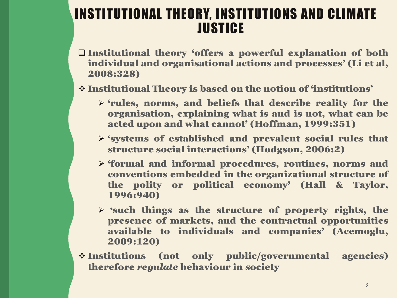## INSTITUTIONAL THEORY, INSTITUTIONS AND CLIMATE **JUSTICE**

- $\square$  Institutional theory 'offers a powerful explanation of both individual and organisational actions and processes' (Li et al, 2008:328)
- v Institutional Theory is based on the notion of 'institutions'
	- $\triangleright$  'rules, norms, and beliefs that describe reality for the organisation, explaining what is and is not, what can be acted upon and what cannot' (Hoffman, 1999:351)
	- $\triangleright$  'systems of established and prevalent social rules that structure social interactions' (Hodgson, 2006:2)
	- $\triangleright$  'formal and informal procedures, routines, norms and conventions embedded in the organizational structure of the polity or political economy' (Hall & Taylor, 1996:940)
	- $\triangleright$  'such things as the structure of property rights, the presence of markets, and the contractual opportunities available to individuals and companies' (Acemoglu, 2009:120)
- $\div$  Institutions (not only public/governmental agencies) therefore *regulate* behaviour in society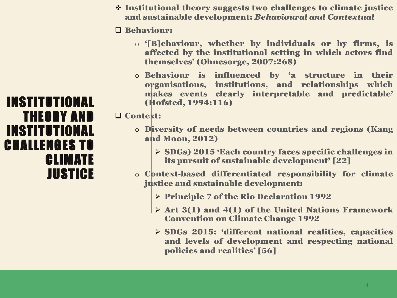$\div$  Institutional theory suggests two challenges to climate justice and sustainable development: *Behavioural and Contextual*

#### q Behaviour:

- o '[B]ehaviour, whether by individuals or by firms, is affected by the institutional setting in which actors find themselves' (Ohnesorge, 2007:268)
- o Behaviour is influenced by 'a structure in their organisations, institutions, and relationships which makes events clearly interpretable and predictable' (Hofsted, 1994:116)

#### □ Context:

- o Diversity of needs between countries and regions (Kang and Moon, 2012)
	- Ø SDGs) 2015 'Each country faces specific challenges in its pursuit of sustainable development' [22]
- o Context-based differentiated responsibility for climate justice and sustainable development:
	- Ø Principle 7 of the Rio Declaration 1992
	- $\triangleright$  Art 3(1) and 4(1) of the United Nations Framework Convention on Climate Change 1992
	- Ø SDGs 2015: 'different national realities, capacities and levels of development and respecting national policies and realities' [56]

### INSTITUTIONAL THEORY AND INSTITUTIONAL CHALLENGES TO CLIMATE **JUSTICE**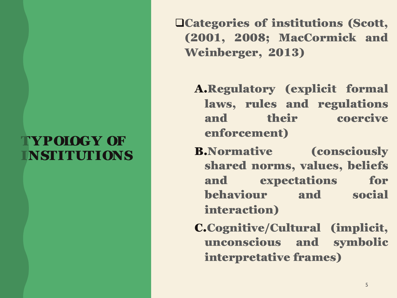## TYPOLOGY OF INSTITUTIONS

qCategories of institutions (Scott, (2001, 2008; MacCormick and Weinberger, 2013)

A.Regulatory (explicit formal laws, rules and regulations and their coercive enforcement)

B.Normative (consciously shared norms, values, beliefs and expectations for behaviour and social interaction)

C.Cognitive/Cultural (implicit, unconscious and symbolic interpretative frames)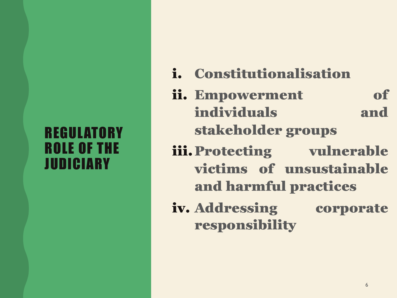## **REGULATORY** ROLE OF THE JUDICIARY

- i. Constitutionalisation
- ii. Empowerment of individuals and stakeholder groups
- iii. Protecting vulnerable victims of unsustainable and harmful practices
- iv. Addressing corporate responsibility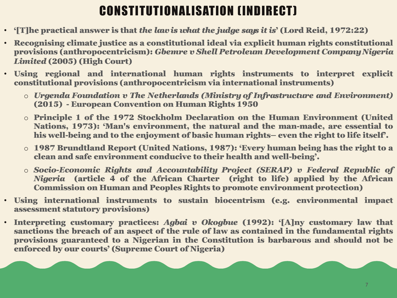# CONSTITUTIONALISATION (INDIRECT)

- '[T]he practical answer is that *the lawis what the judge says it is*' (Lord Reid, 1972:22)
- Recognising climate justice as a constitutional ideal via explicit human rights constitutional provisions (anthropocentricism): *Gbemre v Shell Petroleum Development CompanyNigeria Limited* (2005) (High Court)
- Using regional and international human rights instruments to interpret explicit constitutional provisions (anthropocentricism via international instruments)
	- o *Urgenda Foundation v The Netherlands (Ministry of Infrastructure and Environment)* (2015) - European Convention on Human Rights 1950
	- o Principle 1 of the 1972 Stockholm Declaration on the Human Environment (United Nations, 1973): 'Man's environment, the natural and the man-made, are essential to his well-being and to the enjoyment of basic human rights– even the right to life itself'.
	- o 1987 Brundtland Report (United Nations, 1987): 'Every human being has the right to a clean and safe environment conducive to their health and well-being'.
	- o *Socio-Economic Rights and Accountability Project (SERAP) v Federal Republic of Nigeria* (article 4 of the African Charter (right to life) applied by the African Commission on Human and Peoples Rights to promote environment protection)
- Using international instruments to sustain biocentrism (e.g. environmental impact assessment statutory provisions)
- Interpreting customary practices: *Agbai v Okogbue* (1992): '[A]ny customary law that sanctions the breach of an aspect of the rule of law as contained in the fundamental rights provisions guaranteed to a Nigerian in the Constitution is barbarous and should not be enforced by our courts' (Supreme Court of Nigeria)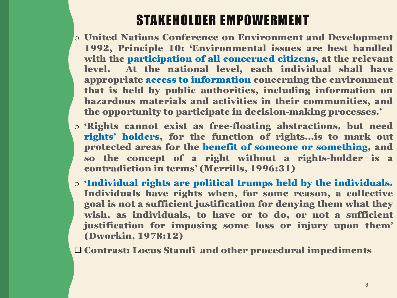# STAKEHOLDER EMPOWERMENT

- o United Nations Conference on Environment and Development 1992, Principle 10: 'Environmental issues are best handled with the participation of all concerned citizens, at the relevant level. At the national level, each individual shall have appropriate access to information concerning the environment that is held by public authorities, including information on hazardous materials and activities in their communities, and the opportunity to participate in decision-making processes.'
- o 'Rights cannot exist as free-floating abstractions, but need rights' holders, for the function of rights…is to mark out protected areas for the benefit of someone or something, and so the concept of a right without a rights-holder is a contradiction in terms' (Merrills, 1996:31)
- o 'Individual rights are political trumps held by the individuals. Individuals have rights when, for some reason, a collective goal is not a sufficient justification for denying them what they wish, as individuals, to have or to do, or not a sufficient justification for imposing some loss or injury upon them' (Dworkin, 1978:12)

q Contrast: Locus Standi and other procedural impediments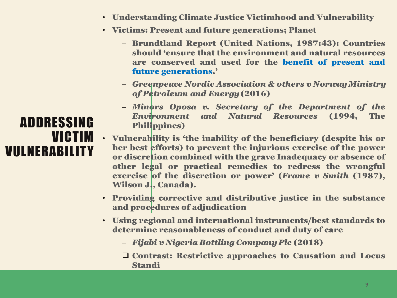- Understanding Climate Justice Victimhood and Vulnerability
- Victims: Present and future generations; Planet
	- Brundtland Report (United Nations, 1987:43): Countries should 'ensure that the environment and natural resources are conserved and used for the benefit of present and future generations.'
	- *Greenpeace Nordic Association & others v NorwayMinistry of Petroleum and Energy*(2016)
	- *Minors Oposa v. Secretary of the Department of the Environment and Natural Resources* (1994, The Philippines)
- Vulnerability is 'the inability of the beneficiary (despite his or her best efforts) to prevent the injurious exercise of the power or discretion combined with the grave Inadequacy or absence of other legal or practical remedies to redress the wrongful exercise of the discretion or power' (*Frame v Smith* (1987), Wilson J., Canada).
- Providing corrective and distributive justice in the substance and procedures of adjudication
- Using regional and international instruments/best standards to determine reasonableness of conduct and duty of care
	- *Fijabi v Nigeria Bottling CompanyPlc* (2018)
	- $\Box$  Contrast: Restrictive approaches to Causation and Locus Standi

### ADDRESSING VICTIM VULNERABILITY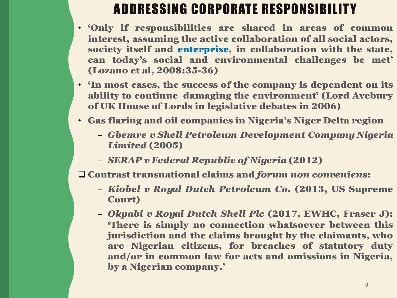# ADDRESSING CORPORATE RESPONSIBILITY

- 'Only if responsibilities are shared in areas of common interest, assuming the active collaboration of all social actors, society itself and enterprise, in collaboration with the state, can today's social and environmental challenges be met' (Lozano et al, 2008:35-36)
- 'In most cases, the success of the company is dependent on its ability to continue damaging the environment' (Lord Avebury of UK House of Lords in legislative debates in 2006)
- Gas flaring and oil companies in Nigeria's Niger Delta region
	- *Gbemre v Shell Petroleum Development Company Nigeria Limited* (2005)
	- *SERAP v Federal Republic of Nigeria* (2012)

q Contrast transnational claims and *forum non conveniens*:

- *Kiobel v Royal Dutch Petroleum Co.* (2013, US Supreme Court)
- *Okpabi v Royal Dutch Shell Plc* (2017, EWHC, Fraser J): 'There is simply no connection whatsoever between this jurisdiction and the claims brought by the claimants, who are Nigerian citizens, for breaches of statutory duty and/or in common law for acts and omissions in Nigeria, by a Nigerian company.'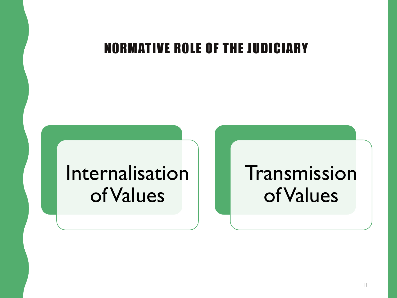## NORMATIVE ROLE OF THE JUDICIARY

# Internalisation of Values

# Transmission of Values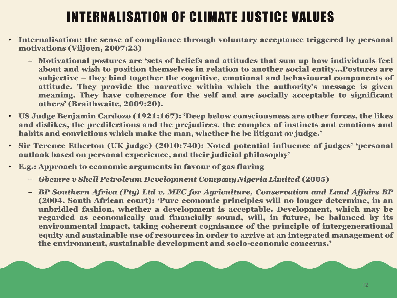# INTERNALISATION OF CLIMATE JUSTICE VALUES

- Internalisation: the sense of compliance through voluntary acceptance triggered by personal motivations (Viljoen, 2007:23)
	- Motivational postures are 'sets of beliefs and attitudes that sum up how individuals feel about and wish to position themselves in relation to another social entity…Postures are subjective – they bind together the cognitive, emotional and behavioural components of attitude. They provide the narrative within which the authority's message is given meaning. They have coherence for the self and are socially acceptable to significant others' (Braithwaite, 2009:20).
- US Judge Benjamin Cardozo (1921:167): 'Deep below consciousness are other forces, the likes and dislikes, the predilections and the prejudices, the complex of instincts and emotions and habits and convictions which make the man, whether he be litigant or judge.'
- Sir Terence Etherton (UK judge) (2010:740): Noted potential influence of judges' 'personal outlook based on personal experience, and their judicial philosophy'
- E.g.: Approach to economic arguments in favour of gas flaring
	- *Gbemre v Shell Petroleum Development CompanyNigeria Limited* (2005)
	- *BP Southern Africa (Pty) Ltd v. MEC for Agriculture, Conservation and Land Affairs BP* (2004, South African court): 'Pure economic principles will no longer determine, in an unbridled fashion, whether a development is acceptable. Development, which may be regarded as economically and financially sound, will, in future, be balanced by its environmental impact, taking coherent cognisance of the principle of intergenerational equity and sustainable use of resources in order to arrive at an integrated management of the environment, sustainable development and socio-economic concerns.'

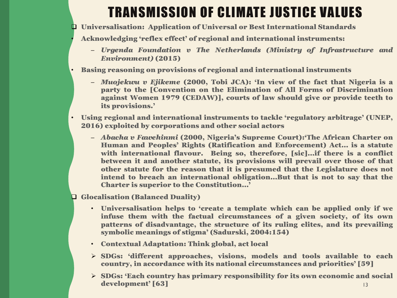# TRANSMISSION OF CLIMATE JUSTICE VALUES

q Universalisation: Application of Universal or Best International Standards

• Acknowledging 'reflex effect' of regional and international instruments:

- *Urgenda Foundation v The Netherlands (Ministry of Infrastructure and Environment)* (2015)
- Basing reasoning on provisions of regional and international instruments
	- *Muojekwu v Ejikeme* (2000, Tobi JCA): 'In view of the fact that Nigeria is a party to the [Convention on the Elimination of All Forms of Discrimination against Women 1979 (CEDAW)], courts of law should give or provide teeth to its provisions.'
- Using regional and international instruments to tackle 'regulatory arbitrage' (UNEP, 2016) exploited by corporations and other social actors
	- *Abacha v Fawehinmi* (2000, Nigeria's Supreme Court):'The African Charter on Human and Peoples' Rights (Ratification and Enforcement) Act… is a statute with international flavour. Being so, therefore, [sic]…if there is a conflict between it and another statute, its provisions will prevail over those of that other statute for the reason that it is presumed that the Legislature does not intend to breach an international obligation…But that is not to say that the Charter is superior to the Constitution…'

**Q Glocalisation (Balanced Duality)** 

- Universalisation helps to 'create a template which can be applied only if we infuse them with the factual circumstances of a given society, of its own patterns of disadvantage, the structure of its ruling elites, and its prevailing symbolic meanings of stigma' (Sadurski, 2004:154)
- Contextual Adaptation: Think global, act local
- $\triangleright$  SDGs: 'different approaches, visions, models and tools available to each country, in accordance with its national circumstances and priorities' [59]
- Ø SDGs: 'Each country has primary responsibility for its own economic and social development' [63] 13 and 13 and 13 and 13 and 13 and 13 and 13 and 13 and 13 and 13 and 13 and 13 and 13 and 13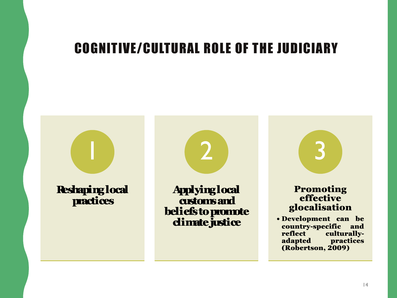## COGNITIVE/CULTURAL ROLE OF THE JUDICIARY

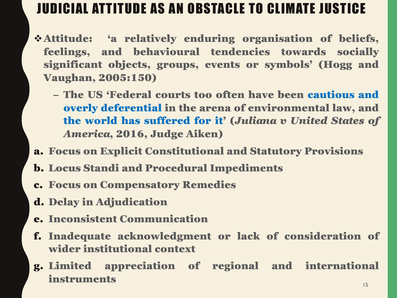# JUDICIAL ATTITUDE AS AN OBSTACLE TO CLIMATE JUSTICE

- vAttitude: 'a relatively enduring organisation of beliefs, feelings, and behavioural tendencies towards socially significant objects, groups, events or symbols' (Hogg and Vaughan, 2005:150)
	- The US 'Federal courts too often have been cautious and overly deferential in the arena of environmental law, and the world has suffered for it' (*Juliana v United States of America*, 2016, Judge Aiken)
- a. Focus on Explicit Constitutional and Statutory Provisions
- b. Locus Standi and Procedural Impediments
- c. Focus on Compensatory Remedies
- d. Delay in Adjudication
- e. Inconsistent Communication
- f. Inadequate acknowledgment or lack of consideration of wider institutional context
- g. Limited appreciation of regional and international instruments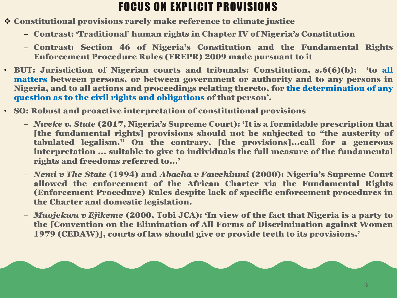### FOCUS ON EXPLICIT PROVISIONS

- v Constitutional provisions rarely make reference to climate justice
	- Contrast: 'Traditional' human rights in Chapter IV of Nigeria's Constitution
	- Contrast: Section 46 of Nigeria's Constitution and the Fundamental Rights Enforcement Procedure Rules (FREPR) 2009 made pursuant to it
- BUT: Jurisdiction of Nigerian courts and tribunals: Constitution, s.6(6)(b): 'to all matters between persons, or between government or authority and to any persons in Nigeria, and to all actions and proceedings relating thereto, for the determination of any question as to the civil rights and obligations of that person'.
- SO: Robust and proactive interpretation of constitutional provisions
	- *Nweke v. State* (2017, Nigeria's Supreme Court): 'It is a formidable prescription that [the fundamental rights] provisions should not be subjected to "the austerity of tabulated legalism." On the contrary, [the provisions]...call for a generous interpretation ... suitable to give to individuals the full measure of the fundamental rights and freedoms referred to...'
	- *Nemi v The State* (1994) and *Abacha v Fawehinmi* (2000): Nigeria's Supreme Court allowed the enforcement of the African Charter via the Fundamental Rights (Enforcement Procedure) Rules despite lack of specific enforcement procedures in the Charter and domestic legislation.
	- *Muojekwu v Ejikeme* (2000, Tobi JCA): 'In view of the fact that Nigeria is a party to the [Convention on the Elimination of All Forms of Discrimination against Women 1979 (CEDAW)], courts of law should give or provide teeth to its provisions.'

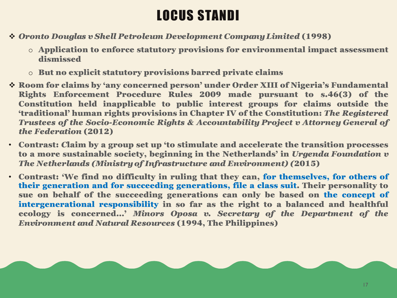# LOCUS STANDI

- v *Oronto Douglas v Shell Petroleum Development CompanyLimited* (1998)
	- o Application to enforce statutory provisions for environmental impact assessment dismissed
	- o But no explicit statutory provisions barred private claims
- v Room for claims by 'any concerned person' under Order XIII of Nigeria's Fundamental Rights Enforcement Procedure Rules 2009 made pursuant to s.46(3) of the Constitution held inapplicable to public interest groups for claims outside the 'traditional' human rights provisions in Chapter IV of the Constitution: *The Registered Trustees of the Socio-Economic Rights & Accountability Project v Attorney General of the Federation* (2012)
- Contrast: *C*laim by a group set up 'to stimulate and accelerate the transition processes to a more sustainable society, beginning in the Netherlands' in *Urgenda Foundation v The Netherlands (Ministryof Infrastructure and Environment) (*2015)
- Contrast: 'We find no difficulty in ruling that they can, for themselves, for others of their generation and for succeeding generations, file a class suit. Their personality to sue on behalf of the succeeding generations can only be based on the concept of intergenerational responsibility in so far as the right to a balanced and healthful ecology is concerned…' *Minors Oposa v. Secretary of the Department of the Environment and Natural Resources* (1994, The Philippines)

17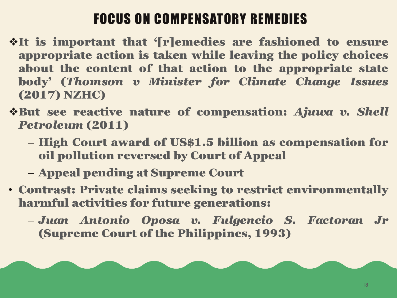# FOCUS ON COMPENSATORY REMEDIES

- vIt is important that '[r]emedies are fashioned to ensure appropriate action is taken while leaving the policy choices about the content of that action to the appropriate state body' (*Thomson v Minister for Climate Change Issues* (2017) NZHC)
- vBut see reactive nature of compensation: *Ajuwa v. Shell Petroleum* (2011)
	- High Court award of US\$1.5 billion as compensation for oil pollution reversed by Court of Appeal
	- Appeal pending at Supreme Court
- Contrast: Private claims seeking to restrict environmentally harmful activities for future generations:
	- *Juan Antonio Oposa v. Fulgencio S. Factoran Jr* (Supreme Court of the Philippines, 1993)

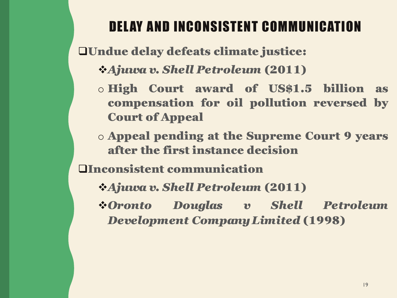# DELAY AND INCONSISTENT COMMUNICATION

**QUndue delay defeats climate justice:** 

- v*Ajuwa v. Shell Petroleum* (2011)
- o High Court award of US\$1.5 billion as compensation for oil pollution reversed by Court of Appeal
- o Appeal pending at the Supreme Court 9 years after the first instance decision

qInconsistent communication

- v*Ajuwa v. Shell Petroleum* (2011)
- v*Oronto Douglas v Shell Petroleum Development CompanyLimited* (1998)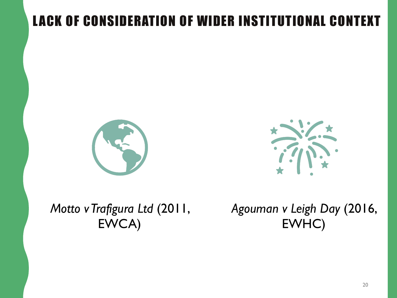# LACK OF CONSIDERATION OF WIDER INSTITUTIONAL CONTEXT





*Motto v Trafigura Ltd* (2011, EWCA)

*Agouman v Leigh Day* (2016, EWHC)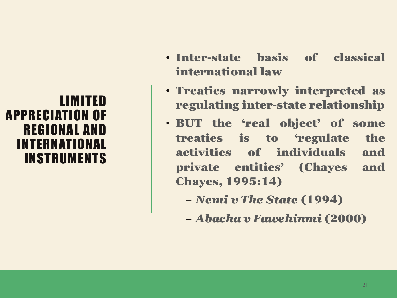### LIMITED APPRECIATION OF REGIONAL AND INTERNATIONAL INSTRUMENTS

- Inter-state basis of classical international law
- Treaties narrowly interpreted as regulating inter-state relationship
- BUT the 'real object' of some treaties is to 'regulate the activities of individuals and private entities' (Chayes and Chayes, 1995:14)
	- *Nemi v The State* (1994)
	- *Abacha v Fawehinmi* (2000)